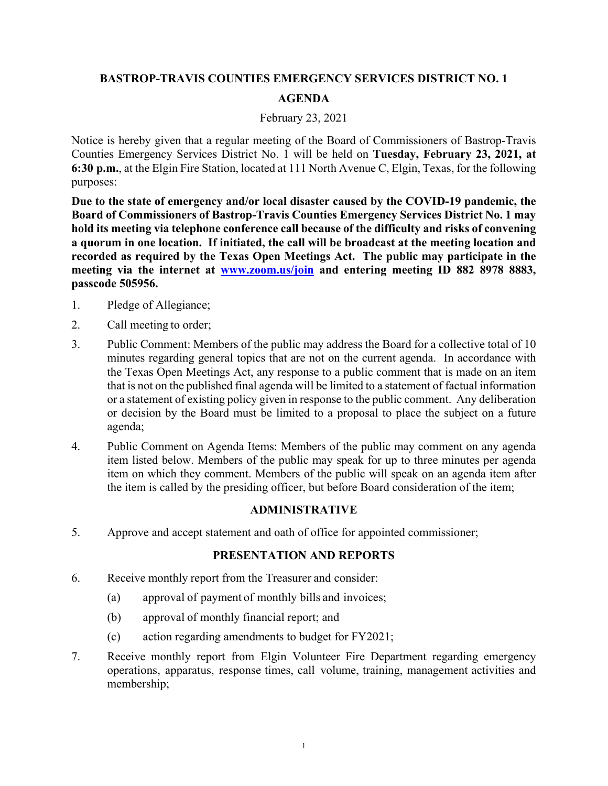# **BASTROP-TRAVIS COUNTIES EMERGENCY SERVICES DISTRICT NO. 1 AGENDA**

### February 23, 2021

Notice is hereby given that a regular meeting of the Board of Commissioners of Bastrop-Travis Counties Emergency Services District No. 1 will be held on **Tuesday, February 23, 2021, at 6:30 p.m.**, at the Elgin Fire Station, located at 111 North Avenue C, Elgin, Texas, for the following purposes:

**Due to the state of emergency and/or local disaster caused by the COVID-19 pandemic, the Board of Commissioners of Bastrop-Travis Counties Emergency Services District No. 1 may hold its meeting via telephone conference call because of the difficulty and risks of convening a quorum in one location. If initiated, the call will be broadcast at the meeting location and recorded as required by the Texas Open Meetings Act. The public may participate in the meeting via the internet at [www.zoom.us/join](http://www.zoom.us/join) and entering meeting ID 882 8978 8883, passcode 505956.** 

- 1. Pledge of Allegiance;
- 2. Call meeting to order;
- 3. Public Comment: Members of the public may address the Board for a collective total of 10 minutes regarding general topics that are not on the current agenda. In accordance with the Texas Open Meetings Act, any response to a public comment that is made on an item that is not on the published final agenda will be limited to a statement of factual information or a statement of existing policy given in response to the public comment. Any deliberation or decision by the Board must be limited to a proposal to place the subject on a future agenda;
- 4. Public Comment on Agenda Items: Members of the public may comment on any agenda item listed below. Members of the public may speak for up to three minutes per agenda item on which they comment. Members of the public will speak on an agenda item after the item is called by the presiding officer, but before Board consideration of the item;

### **ADMINISTRATIVE**

5. Approve and accept statement and oath of office for appointed commissioner;

#### **PRESENTATION AND REPORTS**

- 6. Receive monthly report from the Treasurer and consider:
	- (a) approval of payment of monthly bills and invoices;
	- (b) approval of monthly financial report; and
	- (c) action regarding amendments to budget for FY2021;
- 7. Receive monthly report from Elgin Volunteer Fire Department regarding emergency operations, apparatus, response times, call volume, training, management activities and membership;